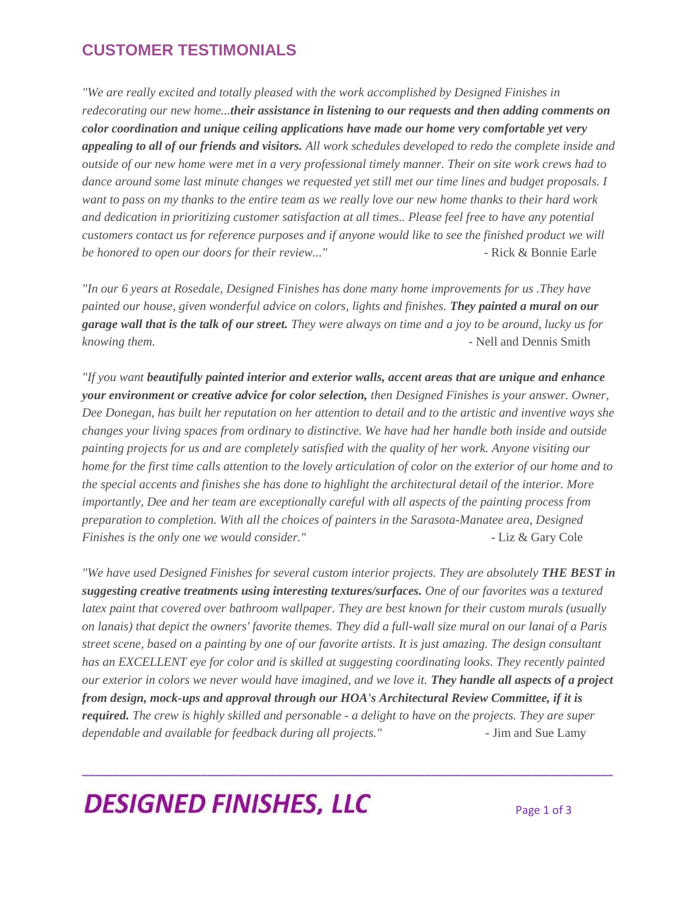#### **CUSTOMER TESTIMONIALS**

*"We are really excited and totally pleased with the work accomplished by Designed Finishes in redecorating our new home...their assistance in listening to our requests and then adding comments on color coordination and unique ceiling applications have made our home very comfortable yet very appealing to all of our friends and visitors. All work schedules developed to redo the complete inside and outside of our new home were met in a very professional timely manner. Their on site work crews had to dance around some last minute changes we requested yet still met our time lines and budget proposals. I want to pass on my thanks to the entire team as we really love our new home thanks to their hard work and dedication in prioritizing customer satisfaction at all times.. Please feel free to have any potential customers contact us for reference purposes and if anyone would like to see the finished product we will be honored to open our doors for their review..."* Phonored *Fack & Bonnie Earle* 

*"In our 6 years at Rosedale, Designed Finishes has done many home improvements for us .They have painted our house, given wonderful advice on colors, lights and finishes. They painted a mural on our garage wall that is the talk of our street. They were always on time and a joy to be around, lucky us for knowing them.* - Nell and Dennis Smith

*"If you want beautifully painted interior and exterior walls, accent areas that are unique and enhance your environment or creative advice for color selection, then Designed Finishes is your answer. Owner, Dee Donegan, has built her reputation on her attention to detail and to the artistic and inventive ways she changes your living spaces from ordinary to distinctive. We have had her handle both inside and outside painting projects for us and are completely satisfied with the quality of her work. Anyone visiting our home for the first time calls attention to the lovely articulation of color on the exterior of our home and to the special accents and finishes she has done to highlight the architectural detail of the interior. More importantly, Dee and her team are exceptionally careful with all aspects of the painting process from preparation to completion. With all the choices of painters in the Sarasota-Manatee area, Designed Finishes is the only one we would consider."* The same of the set of  $\mathcal{L}$  Liz & Gary Cole

*"We have used Designed Finishes for several custom interior projects. They are absolutely THE BEST in suggesting creative treatments using interesting textures/surfaces. One of our favorites was a textured latex paint that covered over bathroom wallpaper. They are best known for their custom murals (usually on lanais) that depict the owners' favorite themes. They did a full-wall size mural on our lanai of a Paris street scene, based on a painting by one of our favorite artists. It is just amazing. The design consultant has an EXCELLENT eye for color and is skilled at suggesting coordinating looks. They recently painted our exterior in colors we never would have imagined, and we love it. They handle all aspects of a project from design, mock-ups and approval through our HOA's Architectural Review Committee, if it is required. The crew is highly skilled and personable - a delight to have on the projects. They are super dependable and available for feedback during all projects."* - Jim and Sue Lamy

\_\_\_\_\_\_\_\_\_\_\_\_\_\_\_\_\_\_\_\_\_\_\_\_\_\_\_\_\_\_\_\_\_\_\_\_\_\_\_\_\_\_\_\_\_\_\_\_\_\_\_\_\_\_\_\_\_\_\_\_\_\_\_\_\_\_\_\_\_\_\_\_\_\_\_\_\_\_\_\_\_\_\_\_\_

# **DESIGNED FINISHES, LLC**  $_{Page 1 of 3}$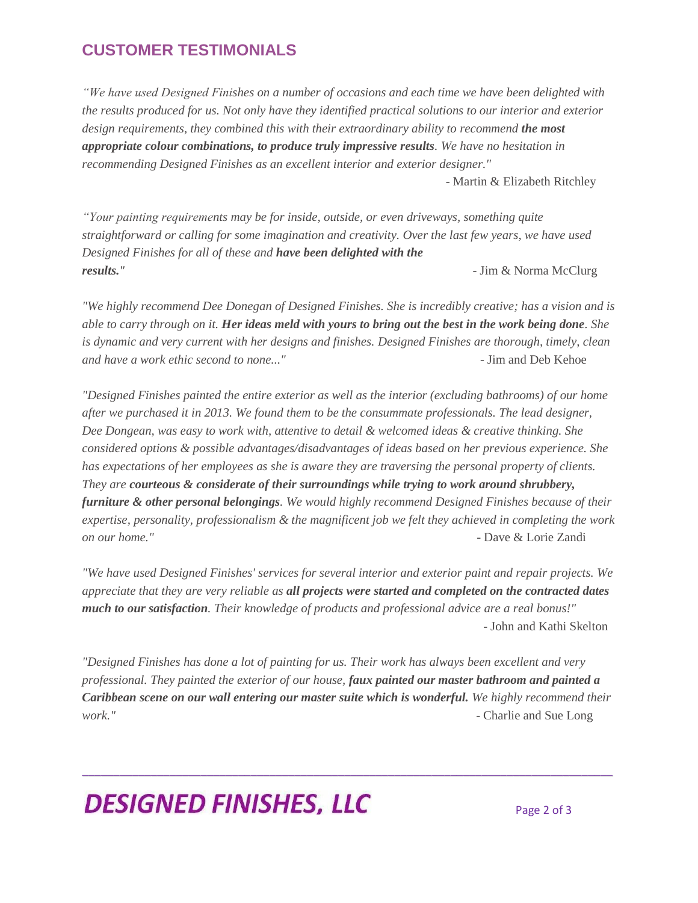#### **CUSTOMER TESTIMONIALS**

*"We have used Designed Finishes on a number of occasions and each time we have been delighted with the results produced for us. Not only have they identified practical solutions to our interior and exterior*  design requirements, they combined this with their extraordinary ability to recommend **the most** *appropriate colour combinations, to produce truly impressive results. We have no hesitation in recommending Designed Finishes as an excellent interior and exterior designer."* 

- Martin & Elizabeth Ritchley

*"Your painting requirements may be for inside, outside, or even driveways, something quite straightforward or calling for some imagination and creativity. Over the last few years, we have used Designed Finishes for all of these and have been delighted with the results."* - Jim & Norma McClurg

*"We highly recommend Dee Donegan of Designed Finishes. She is incredibly creative; has a vision and is able to carry through on it. Her ideas meld with yours to bring out the best in the work being done. She is dynamic and very current with her designs and finishes. Designed Finishes are thorough, timely, clean and have a work ethic second to none..."* - Jim and Deb Kehoe

*"Designed Finishes painted the entire exterior as well as the interior (excluding bathrooms) of our home after we purchased it in 2013. We found them to be the consummate professionals. The lead designer, Dee Dongean, was easy to work with, attentive to detail & welcomed ideas & creative thinking. She considered options & possible advantages/disadvantages of ideas based on her previous experience. She has expectations of her employees as she is aware they are traversing the personal property of clients. They are courteous & considerate of their surroundings while trying to work around shrubbery, furniture & other personal belongings. We would highly recommend Designed Finishes because of their expertise, personality, professionalism & the magnificent job we felt they achieved in completing the work on our home."* - Dave & Lorie Zandi

*"We have used Designed Finishes' services for several interior and exterior paint and repair projects. We appreciate that they are very reliable as all projects were started and completed on the contracted dates much to our satisfaction. Their knowledge of products and professional advice are a real bonus!"* - John and Kathi Skelton

*"Designed Finishes has done a lot of painting for us. Their work has always been excellent and very professional. They painted the exterior of our house, faux painted our master bathroom and painted a Caribbean scene on our wall entering our master suite which is wonderful. We highly recommend their work."* - Charlie and Sue Long

\_\_\_\_\_\_\_\_\_\_\_\_\_\_\_\_\_\_\_\_\_\_\_\_\_\_\_\_\_\_\_\_\_\_\_\_\_\_\_\_\_\_\_\_\_\_\_\_\_\_\_\_\_\_\_\_\_\_\_\_\_\_\_\_\_\_\_\_\_\_\_\_\_\_\_\_\_\_\_\_\_\_\_\_\_

# **DESIGNED FINISHES, LLC**  $_{Page 2 of 3}$